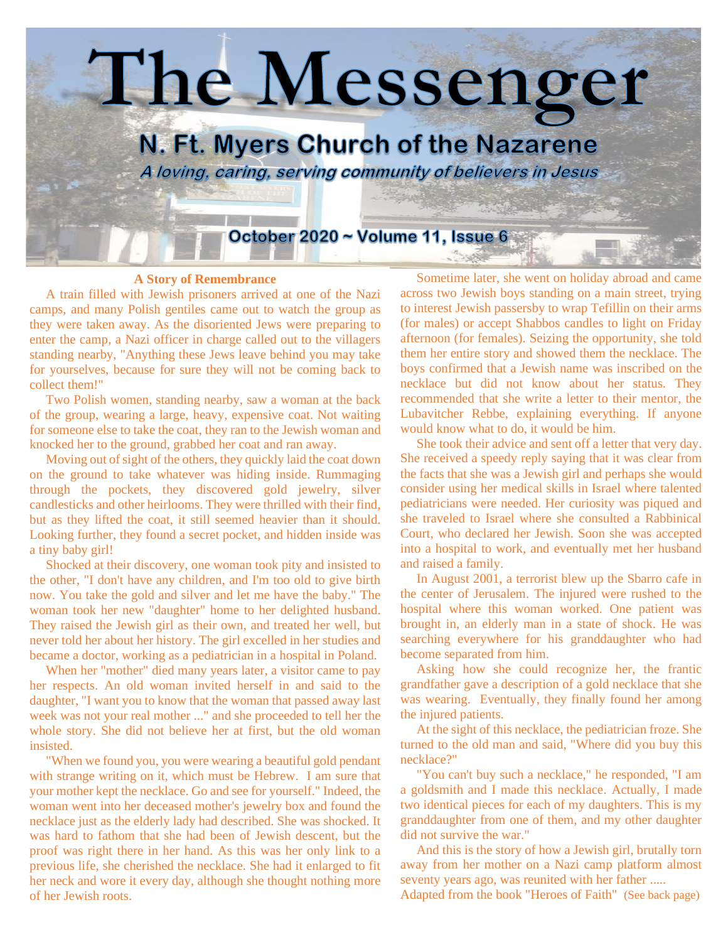

## **A Story of Remembrance**

 A train filled with Jewish prisoners arrived at one of the Nazi camps, and many Polish gentiles came out to watch the group as they were taken away. As the disoriented Jews were preparing to enter the camp, a Nazi officer in charge called out to the villagers standing nearby, "Anything these Jews leave behind you may take for yourselves, because for sure they will not be coming back to collect them!"

 Two Polish women, standing nearby, saw a woman at the back of the group, wearing a large, heavy, expensive coat. Not waiting for someone else to take the coat, they ran to the Jewish woman and knocked her to the ground, grabbed her coat and ran away.

 Moving out of sight of the others, they quickly laid the coat down on the ground to take whatever was hiding inside. Rummaging through the pockets, they discovered gold jewelry, silver candlesticks and other heirlooms. They were thrilled with their find, but as they lifted the coat, it still seemed heavier than it should. Looking further, they found a secret pocket, and hidden inside was a tiny baby girl!

 Shocked at their discovery, one woman took pity and insisted to the other, "I don't have any children, and I'm too old to give birth now. You take the gold and silver and let me have the baby." The woman took her new "daughter" home to her delighted husband. They raised the Jewish girl as their own, and treated her well, but never told her about her history. The girl excelled in her studies and became a doctor, working as a pediatrician in a hospital in Poland.

 When her "mother" died many years later, a visitor came to pay her respects. An old woman invited herself in and said to the daughter, "I want you to know that the woman that passed away last week was not your real mother ..." and she proceeded to tell her the whole story. She did not believe her at first, but the old woman insisted.

 "When we found you, you were wearing a beautiful gold pendant with strange writing on it, which must be Hebrew. I am sure that your mother kept the necklace. Go and see for yourself." Indeed, the woman went into her deceased mother's jewelry box and found the necklace just as the elderly lady had described. She was shocked. It was hard to fathom that she had been of Jewish descent, but the proof was right there in her hand. As this was her only link to a previous life, she cherished the necklace. She had it enlarged to fit her neck and wore it every day, although she thought nothing more of her Jewish roots.

 Sometime later, she went on holiday abroad and came across two Jewish boys standing on a main street, trying to interest Jewish passersby to wrap Tefillin on their arms (for males) or accept Shabbos candles to light on Friday afternoon (for females). Seizing the opportunity, she told them her entire story and showed them the necklace. The boys confirmed that a Jewish name was inscribed on the necklace but did not know about her status. They recommended that she write a letter to their mentor, the Lubavitcher Rebbe, explaining everything. If anyone would know what to do, it would be him.

 She took their advice and sent off a letter that very day. She received a speedy reply saying that it was clear from the facts that she was a Jewish girl and perhaps she would consider using her medical skills in Israel where talented pediatricians were needed. Her curiosity was piqued and she traveled to Israel where she consulted a Rabbinical Court, who declared her Jewish. Soon she was accepted into a hospital to work, and eventually met her husband and raised a family.

 In August 2001, a terrorist blew up the Sbarro cafe in the center of Jerusalem. The injured were rushed to the hospital where this woman worked. One patient was brought in, an elderly man in a state of shock. He was searching everywhere for his granddaughter who had become separated from him.

 Asking how she could recognize her, the frantic grandfather gave a description of a gold necklace that she was wearing. Eventually, they finally found her among the injured patients.

 At the sight of this necklace, the pediatrician froze. She turned to the old man and said, "Where did you buy this necklace?"

 "You can't buy such a necklace," he responded, "I am a goldsmith and I made this necklace. Actually, I made two identical pieces for each of my daughters. This is my granddaughter from one of them, and my other daughter did not survive the war."

 And this is the story of how a Jewish girl, brutally torn away from her mother on a Nazi camp platform almost seventy years ago, was reunited with her father .....

Adapted from the book "Heroes of Faith" (See back page)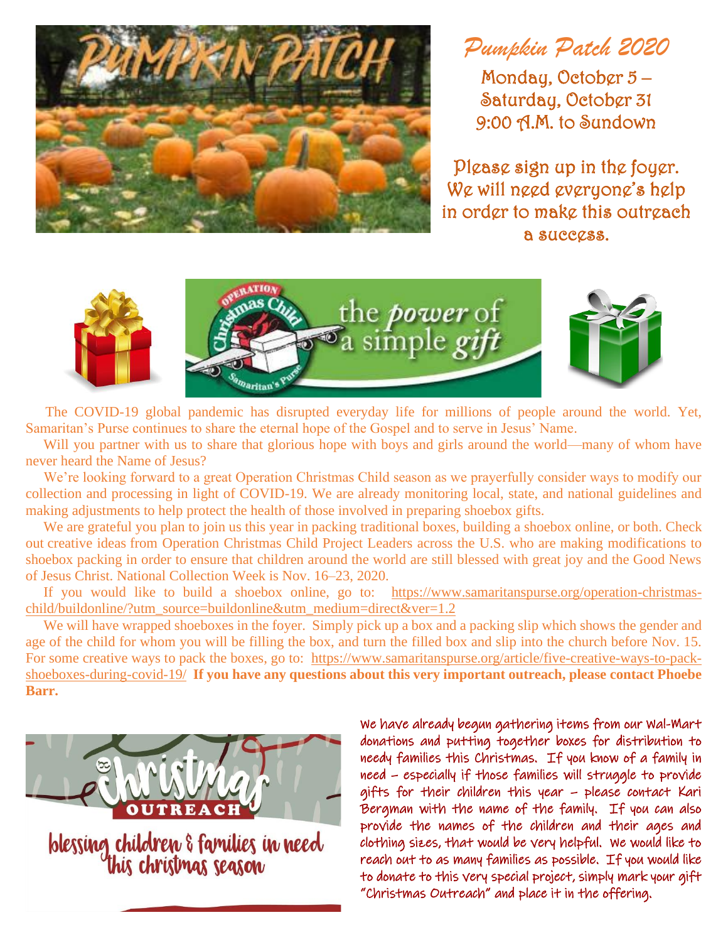

*Pumpkin Patch 2020*

Monday, October 5 – Saturday, October 31 9:00 A.M. to Sundown

Please sign up in the foyer. We will need everyone's help in order to make this outreach a success.



 The COVID-19 global pandemic has disrupted everyday life for millions of people around the world. Yet, Samaritan's Purse continues to share the eternal hope of the Gospel and to serve in Jesus' Name.

Will you partner with us to share that glorious hope with boys and girls around the world—many of whom have never heard the Name of Jesus?

 We're looking forward to a great Operation Christmas Child season as we prayerfully consider ways to modify our collection and processing in light of COVID-19. We are already monitoring local, state, and national guidelines and making adjustments to help protect the health of those involved in preparing shoebox gifts.

We are grateful you plan to join us this year in packing [traditional boxes,](https://www.samaritanspurse.org/operation-christmas-child/pack-a-shoe-box/) [building a shoebox online,](https://www.samaritanspurse.org/buildonline) or both. Check out [creative ideas](https://www.samaritanspurse.org/article/five-creative-ways-to-pack-shoeboxes-during-covid-19/) from Operation Christmas Child Project Leaders across the U.S. who are making modifications to shoebox packing in order to ensure that children around the world are still blessed with great joy and the Good News of Jesus Christ. National Collection Week is Nov. 16–23, 2020.

 If you would like to build a shoebox online, go to: [https://www.samaritanspurse.org/operation-christmas](https://www.samaritanspurse.org/operation-christmas-child/buildonline/?utm_source=buildonline&utm_medium=direct&ver=1.2)[child/buildonline/?utm\\_source=buildonline&utm\\_medium=direct&ver=1.2](https://www.samaritanspurse.org/operation-christmas-child/buildonline/?utm_source=buildonline&utm_medium=direct&ver=1.2)

We will have wrapped shoeboxes in the foyer. Simply pick up a box and a packing slip which shows the gender and age of the child for whom you will be filling the box, and turn the filled box and slip into the church before Nov. 15. For some creative ways to pack the boxes, go to: [https://www.samaritanspurse.org/article/five-creative-ways-to-pack](https://www.samaritanspurse.org/article/five-creative-ways-to-pack-shoeboxes-during-covid-19/)[shoeboxes-during-covid-19/](https://www.samaritanspurse.org/article/five-creative-ways-to-pack-shoeboxes-during-covid-19/) **If you have any questions about this very important outreach, please contact Phoebe Barr.**



blessing children & families in need<br>this christmas season

We have already begun gathering items from our Wal-Mart donations and putting together boxes for distribution to needy families this Christmas. If you know of a family in need – especially if those families will struggle to provide gifts for their children this year – please contact Kari Bergman with the name of the family. If you can also provide the names of the children and their ages and clothing sizes, that would be very helpful. We would like to reach out to as many families as possible. If you would like to donate to this very special project, simply mark your gift "Christmas Outreach" and place it in the offering.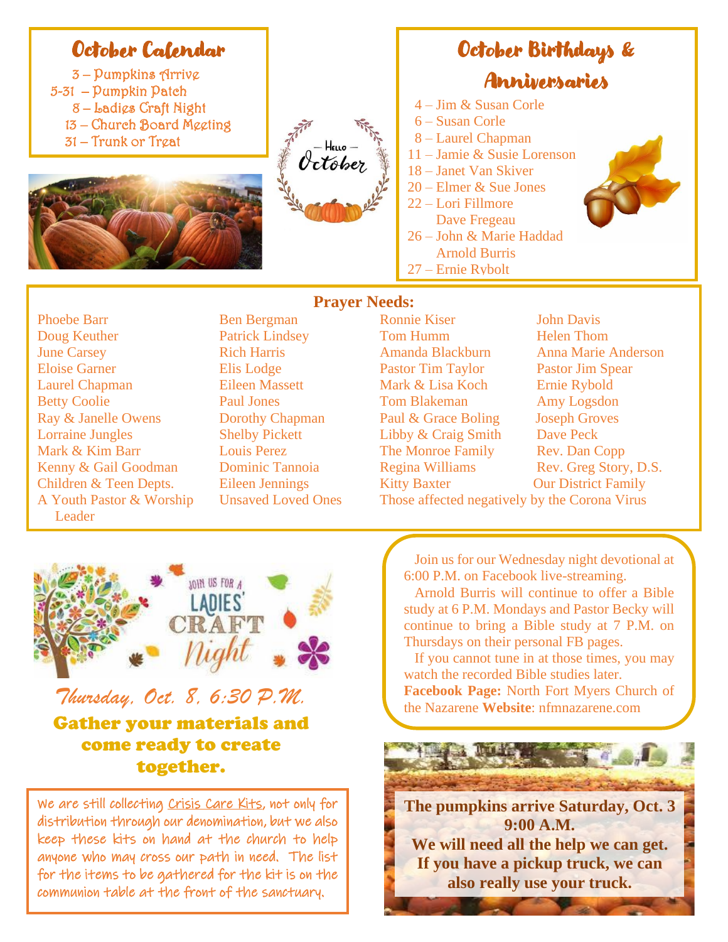## October Calendar

– Pumpkins Arrive 5-31 – Pumpkin Patch – Ladies Craft Night – Church Board Meeting – Trunk or Treat





## October Birthdays & Anniversaries

- 4 Jim & Susan Corle
- 6 Susan Corle
- 8 Laurel Chapman
- 11 Jamie & Susie Lorenson
- 18 Janet Van Skiver
- 20 Elmer & Sue Jones
- 22 Lori Fillmore Dave Fregeau
- 26 John & Marie Haddad
- Arnold Burris
- 27 Ernie Rybolt

Leader

**Prayer Needs:** Phoebe Barr Ben Bergman Ronnie Kiser John Davis Doug Keuther **Patrick Lindsey** Tom Humm Helen Thom June Carsey **Rich Harris** Amanda Blackburn Anna Marie Anderson Eloise Garner Elis Lodge Pastor Tim Taylor Pastor Jim Spear Laurel Chapman Eileen Massett Mark & Lisa Koch Ernie Rybold Betty Coolie **Paul Jones** Tom Blakeman Amy Logsdon Ray & Janelle Owens Dorothy Chapman Paul & Grace Boling Joseph Groves Lorraine Jungles Shelby Pickett Libby & Craig Smith Dave Peck Mark & Kim Barr **Louis Perez** The Monroe Family Rev. Dan Copp Kenny & Gail Goodman Dominic Tannoia Regina Williams Rev. Greg Story, D.S. Children & Teen Depts. Eileen Jennings Kitty Baxter Our District Family A Youth Pastor & Worship Unsaved Loved Ones Those affected negatively by the Corona Virus



*Thursday, Oct. 8, 6:30 P.M.* Gather your materials and come ready to create together.

We are still collecting Crisis Care Kits, not only for distribution through our denomination, but we also keep these kits on hand at the church to help anyone who may cross our path in need. The list for the items to be gathered for the kit is on the communion table at the front of the sanctuary.

 Join us for our Wednesday night devotional at 6:00 P.M. on Facebook live-streaming.

 Arnold Burris will continue to offer a Bible study at 6 P.M. Mondays and Pastor Becky will continue to bring a Bible study at 7 P.M. on Thursdays on their personal FB pages.

 If you cannot tune in at those times, you may watch the recorded Bible studies later. **Facebook Page:** North Fort Myers Church of the Nazarene **Website**: nfmnazarene.com